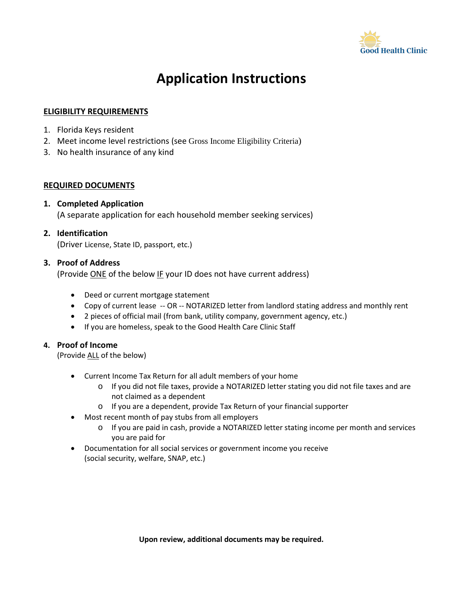

# **Application Instructions**

## **ELIGIBILITY REQUIREMENTS**

- 1. Florida Keys resident
- 2. Meet income level restrictions (see Gross Income Eligibility Criteria)
- 3. No health insurance of any kind

#### **REQUIRED DOCUMENTS**

#### **1. Completed Application**

(A separate application for each household member seeking services)

### **2. Identification**

(Driver License, State ID, passport, etc.)

## **3. Proof of Address**

(Provide ONE of the below IF your ID does not have current address)

- Deed or current mortgage statement
- Copy of current lease -- OR -- NOTARIZED letter from landlord stating address and monthly rent
- 2 pieces of official mail (from bank, utility company, government agency, etc.)
- If you are homeless, speak to the Good Health Care Clinic Staff

## **4. Proof of Income**

(Provide ALL of the below)

- Current Income Tax Return for all adult members of your home
	- o If you did not file taxes, provide a NOTARIZED letter stating you did not file taxes and are not claimed as a dependent
	- o If you are a dependent, provide Tax Return of your financial supporter
- Most recent month of pay stubs from all employers
	- o If you are paid in cash, provide a NOTARIZED letter stating income per month and services you are paid for
- Documentation for all social services or government income you receive (social security, welfare, SNAP, etc.)

**Upon review, additional documents may be required.**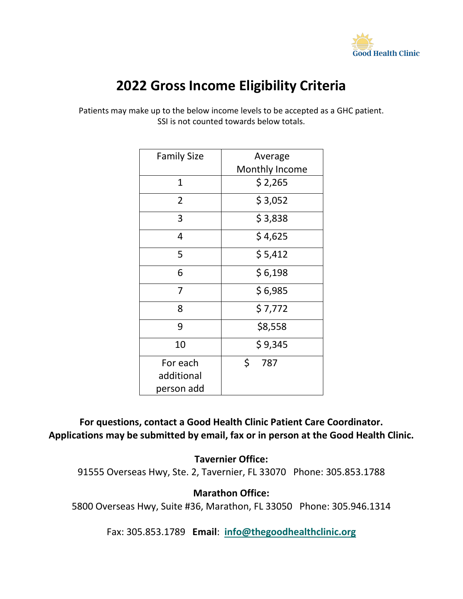

# **2022 Gross Income Eligibility Criteria**

Patients may make up to the below income levels to be accepted as a GHC patient. SSI is not counted towards below totals.

| <b>Family Size</b> | Average        |  |  |
|--------------------|----------------|--|--|
|                    | Monthly Income |  |  |
| 1                  | \$2,265        |  |  |
| $\overline{2}$     | \$3,052        |  |  |
| 3                  | \$3,838        |  |  |
| 4                  | \$4,625        |  |  |
| 5                  | \$5,412        |  |  |
| 6                  | \$6,198        |  |  |
| 7                  | \$6,985        |  |  |
| 8                  | \$7,772        |  |  |
| 9                  | \$8,558        |  |  |
| 10                 | \$9,345        |  |  |
| For each           | \$<br>787      |  |  |
| additional         |                |  |  |
| person add         |                |  |  |

**For questions, contact a Good Health Clinic Patient Care Coordinator. Applications may be submitted by email, fax or in person at the Good Health Clinic.**

**Tavernier Office:** 

91555 Overseas Hwy, Ste. 2, Tavernier, FL 33070 Phone: 305.853.1788

## **Marathon Office:**

5800 Overseas Hwy, Suite #36, Marathon, FL 33050 Phone: 305.946.1314

Fax: 305.853.1789 **Email**: **[info@thegoodhealthclinic.org](mailto:goodhealthclinic@comcast.net)**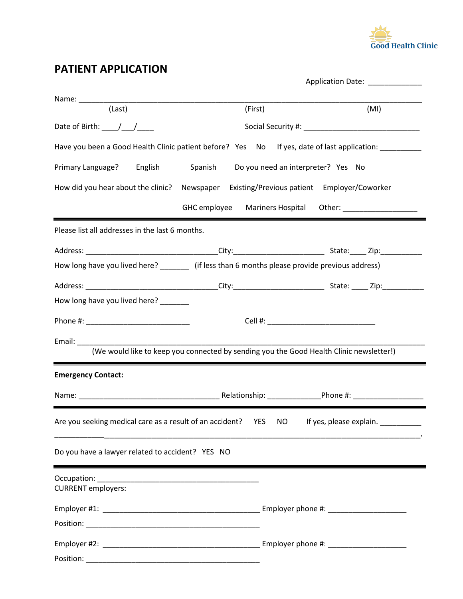

## **PATIENT APPLICATION**

|                                                                                                                                                                                       | Application Date: _____________                                                                                                                                                                                                |                                    |
|---------------------------------------------------------------------------------------------------------------------------------------------------------------------------------------|--------------------------------------------------------------------------------------------------------------------------------------------------------------------------------------------------------------------------------|------------------------------------|
|                                                                                                                                                                                       |                                                                                                                                                                                                                                |                                    |
| (Last)                                                                                                                                                                                | (First)                                                                                                                                                                                                                        | (MI)                               |
| Date of Birth: $\frac{1}{\sqrt{1-\frac{1}{2}}}$                                                                                                                                       |                                                                                                                                                                                                                                |                                    |
|                                                                                                                                                                                       | Have you been a Good Health Clinic patient before? Yes No If yes, date of last application: ________                                                                                                                           |                                    |
|                                                                                                                                                                                       | Primary Language? English Spanish Do you need an interpreter? Yes No                                                                                                                                                           |                                    |
|                                                                                                                                                                                       | How did you hear about the clinic? Newspaper Existing/Previous patient Employer/Coworker                                                                                                                                       |                                    |
|                                                                                                                                                                                       |                                                                                                                                                                                                                                |                                    |
| Please list all addresses in the last 6 months.                                                                                                                                       |                                                                                                                                                                                                                                |                                    |
|                                                                                                                                                                                       |                                                                                                                                                                                                                                |                                    |
|                                                                                                                                                                                       | How long have you lived here? ________ (if less than 6 months please provide previous address)                                                                                                                                 |                                    |
|                                                                                                                                                                                       |                                                                                                                                                                                                                                |                                    |
| How long have you lived here? ______                                                                                                                                                  |                                                                                                                                                                                                                                |                                    |
|                                                                                                                                                                                       |                                                                                                                                                                                                                                |                                    |
|                                                                                                                                                                                       |                                                                                                                                                                                                                                |                                    |
|                                                                                                                                                                                       | (We would like to keep you connected by sending you the Good Health Clinic newsletter!)                                                                                                                                        |                                    |
| <b>Emergency Contact:</b>                                                                                                                                                             |                                                                                                                                                                                                                                |                                    |
|                                                                                                                                                                                       | Name: Name Phone #: Name Phone #: Name Phone #: Name Phone #: Name Phone #: Name Phone #: Name Phone #: Name Phone #: Name Phone #: Name Phone #: Name Phone #: Name Phone #: Name Phone #: Name Phone #: Name Phone #: Name P |                                    |
| Are you seeking medical care as a result of an accident? YES<br><u> 1980 - Johann John Stein, markin fan de Fryske kampen oantal it ferskearre fan de Fryske kampen oantal it fer</u> | NO <sub>1</sub>                                                                                                                                                                                                                | If yes, please explain. __________ |
| Do you have a lawyer related to accident? YES NO                                                                                                                                      |                                                                                                                                                                                                                                |                                    |
|                                                                                                                                                                                       |                                                                                                                                                                                                                                |                                    |
| <b>CURRENT</b> employers:                                                                                                                                                             |                                                                                                                                                                                                                                |                                    |
|                                                                                                                                                                                       |                                                                                                                                                                                                                                |                                    |
|                                                                                                                                                                                       |                                                                                                                                                                                                                                |                                    |
|                                                                                                                                                                                       |                                                                                                                                                                                                                                |                                    |
|                                                                                                                                                                                       |                                                                                                                                                                                                                                |                                    |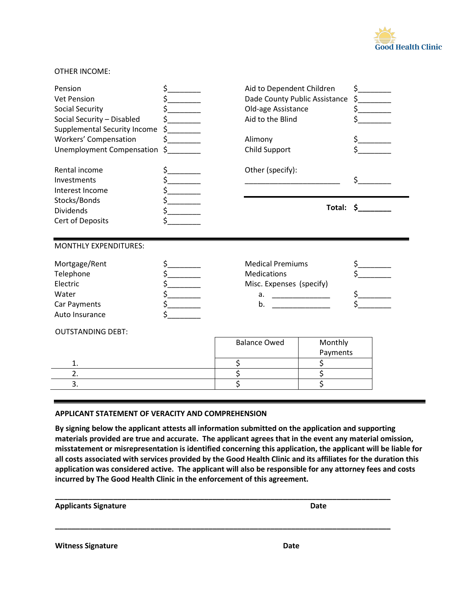

#### OTHER INCOME:

| Pension<br><b>Vet Pension</b><br>Social Security<br>Social Security - Disabled<br>Supplemental Security Income<br><b>Workers' Compensation</b><br><b>Unemployment Compensation</b> | $\mathsf{s}\_\_\_\_\_\_\$<br>\$_________<br>$\frac{1}{2}$<br>$\mathsf{\dot{S}}$ and $\mathsf{\dot{S}}$ | Aid to Dependent Children<br>Dade County Public Assistance<br>Old-age Assistance<br>Aid to the Blind<br>Alimony<br>Child Support | $\frac{1}{2}$<br>$\frac{1}{2}$<br>$\zeta$<br>\$<br>$\frac{1}{2}$ |
|------------------------------------------------------------------------------------------------------------------------------------------------------------------------------------|--------------------------------------------------------------------------------------------------------|----------------------------------------------------------------------------------------------------------------------------------|------------------------------------------------------------------|
| Rental income<br>Investments<br>Interest Income                                                                                                                                    |                                                                                                        | Other (specify):                                                                                                                 | $\sharp$ , and the set of $\sharp$                               |
| Stocks/Bonds<br><b>Dividends</b><br>Cert of Deposits                                                                                                                               |                                                                                                        |                                                                                                                                  | Total: $\oint$                                                   |
| <b>MONTHLY EXPENDITURES:</b>                                                                                                                                                       |                                                                                                        |                                                                                                                                  |                                                                  |
| Mortgage/Rent<br>Telephone<br>Electric<br>Water<br>Car Payments<br>Auto Insurance                                                                                                  | $\mathsf{s}\_\_\_\_\_\_\$<br>$\frac{1}{2}$<br>\$                                                       | <b>Medical Premiums</b><br>Medications<br>Misc. Expenses (specify)<br>a. _______________<br>b.<br><u> Albanya (Albanya)</u>      | $\frac{1}{2}$                                                    |
| <b>OUTSTANDING DEBT:</b>                                                                                                                                                           |                                                                                                        | <b>Balance Owed</b><br>Monthly<br>Payments                                                                                       |                                                                  |
| 1.                                                                                                                                                                                 |                                                                                                        | \$<br>\$                                                                                                                         |                                                                  |
| 2.<br>3.                                                                                                                                                                           |                                                                                                        | \$<br>\$<br>$\overline{\boldsymbol{\zeta}}$                                                                                      |                                                                  |
|                                                                                                                                                                                    |                                                                                                        |                                                                                                                                  |                                                                  |

#### **APPLICANT STATEMENT OF VERACITY AND COMPREHENSION**

**By signing below the applicant attests all information submitted on the application and supporting materials provided are true and accurate. The applicant agrees that in the event any material omission, misstatement or misrepresentation is identified concerning this application, the applicant will be liable for all costs associated with services provided by the Good Health Clinic and its affiliates for the duration this application was considered active. The applicant will also be responsible for any attorney fees and costs incurred by The Good Health Clinic in the enforcement of this agreement.** 

| <b>Applicants Signature</b> | Date |
|-----------------------------|------|
| <b>Witness Signature</b>    | Date |